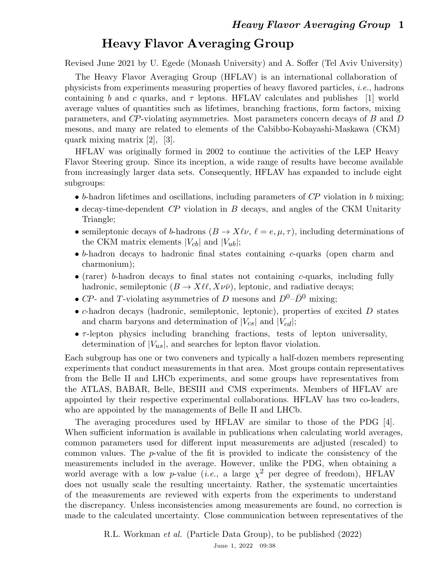## Heavy Flavor Averaging Group

Revised June 2021 by U. Egede (Monash University) and A. Soffer (Tel Aviv University)

The Heavy Flavor Averaging Group (HFLAV) is an international collaboration of physicists from experiments measuring properties of heavy flavored particles, i.e., hadrons containing b and c quarks, and  $\tau$  leptons. HFLAV calculates and publishes [1] world average values of quantities such as lifetimes, branching fractions, form factors, mixing parameters, and CP-violating asymmetries. Most parameters concern decays of B and D mesons, and many are related to elements of the Cabibbo-Kobayashi-Maskawa (CKM) quark mixing matrix [2], [3].

HFLAV was originally formed in 2002 to continue the activities of the LEP Heavy Flavor Steering group. Since its inception, a wide range of results have become available from increasingly larger data sets. Consequently, HFLAV has expanded to include eight subgroups:

- $\bullet$  b-hadron lifetimes and oscillations, including parameters of CP violation in b mixing;
- decay-time-dependent  $\mathbb{CP}$  violation in  $\mathbb B$  decays, and angles of the CKM Unitarity Triangle;
- semileptonic decays of b-hadrons  $(B \to X \ell \nu, \ell = e, \mu, \tau)$ , including determinations of the CKM matrix elements  $|V_{cb}|$  and  $|V_{ub}|$ ;
- $\bullet$  b-hadron decays to hadronic final states containing c-quarks (open charm and charmonium);
- (rarer) b-hadron decays to final states not containing c-quarks, including fully hadronic, semileptonic  $(B \to X \ell \ell, X \nu \bar{\nu})$ , leptonic, and radiative decays;
- $CP$  and T-violating asymmetries of D mesons and  $D^0$ - $\bar{D}^0$  mixing;
- $\bullet$  c-hadron decays (hadronic, semileptonic, leptonic), properties of excited  $D$  states and charm baryons and determination of  $|V_{cs}|$  and  $|V_{cd}|$ ;
- $\tau$ -lepton physics including branching fractions, tests of lepton universality, determination of  $|V_{us}|$ , and searches for lepton flavor violation.

Each subgroup has one or two conveners and typically a half-dozen members representing experiments that conduct measurements in that area. Most groups contain representatives from the Belle II and LHCb experiments, and some groups have representatives from the ATLAS, BABAR, Belle, BESIII and CMS experiments. Members of HFLAV are appointed by their respective experimental collaborations. HFLAV has two co-leaders, who are appointed by the managements of Belle II and LHCb.

The averaging procedures used by HFLAV are similar to those of the PDG [4]. When sufficient information is available in publications when calculating world averages, common parameters used for different input measurements are adjusted (rescaled) to common values. The p-value of the fit is provided to indicate the consistency of the measurements included in the average. However, unlike the PDG, when obtaining a world average with a low p-value (*i.e.*, a large  $\chi^2$  per degree of freedom), HFLAV does not usually scale the resulting uncertainty. Rather, the systematic uncertainties of the measurements are reviewed with experts from the experiments to understand the discrepancy. Unless inconsistencies among measurements are found, no correction is made to the calculated uncertainty. Close communication between representatives of the

> R.L. Workman et al. (Particle Data Group), to be published (2022) June 1, 2022 09:38